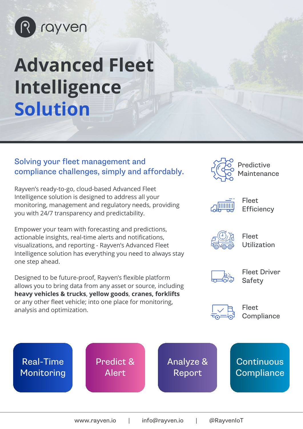

# **Advanced Fleet Intelligence Solution**

#### Solving your fleet management and compliance challenges, simply and affordably.

Rayven's ready-to-go, cloud-based Advanced Fleet Intelligence solution is designed to address all your monitoring, management and regulatory needs, providing you with 24/7 transparency and predictability.

Empower your team with forecasting and predictions, actionable insights, real-time alerts and notifications, visualizations, and reporting - Rayven's Advanced Fleet Intelligence solution has everything you need to always stay one step ahead.

Designed to be future-proof, Rayven's flexible platform allows you to bring data from any asset or source, including **heavy vehicles & trucks**, **yellow goods**, **cranes, forklifts**  or any other fleet vehicle; into one place for monitoring, analysis and optimization.



Predictive Maintenance



Fleet **Efficiency** 



Fleet Utilization



Fleet Driver Safety



Fleet **Compliance** 

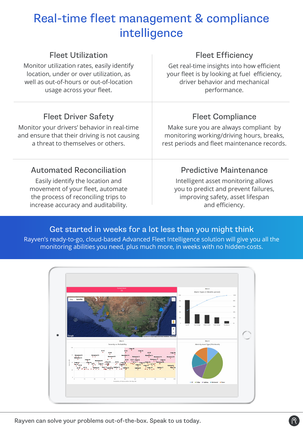## Real-time fleet management & compliance intelligence

| <b>Fleet Utilization</b>                     | <b>Fleet Efficiency</b>                      |
|----------------------------------------------|----------------------------------------------|
| Monitor utilization rates, easily identify   | Get real-time insights into how efficient    |
| location, under or over utilization, as      | your fleet is by looking at fuel efficiency, |
| well as out-of-hours or out-of-location      | driver behavior and mechanical               |
| usage across your fleet.                     | performance.                                 |
| <b>Fleet Driver Safety</b>                   | <b>Fleet Compliance</b>                      |
| Monitor your drivers' behavior in real-time  | Make sure you are always compliant by        |
| and ensure that their driving is not causing | monitoring working/driving hours, breaks,    |
| a threat to themselves or others.            | rest periods and fleet maintenance records.  |
| <b>Automated Reconciliation</b>              | <b>Predictive Maintenance</b>                |
| Easily identify the location and             | Intelligent asset monitoring allows          |
| movement of your fleet, automate             | you to predict and prevent failures,         |
| the process of reconciling trips to          | improving safety, asset lifespan             |
| increase accuracy and auditability.          | and efficiency.                              |

### Get started in weeks for a lot less than you might think

Rayven's ready-to-go, cloud-based Advanced Fleet Intelligence solution will give you all the monitoring abilities you need, plus much more, in weeks with no hidden-costs.



Rayven can solve your problems out-of-the-box. Speak to us today.